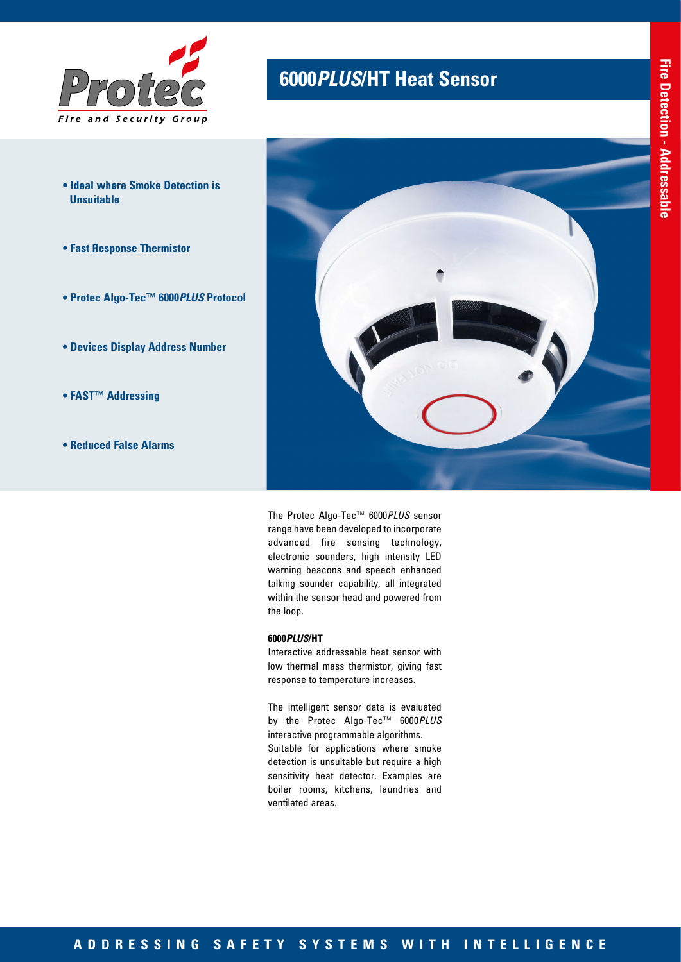

- **Ideal where Smoke Detection is Unsuitable**
- **Fast Response Thermistor**
- **Protec Algo-Tec™ 6000***PLUS* **Protocol**
- **Devices Display Address Number**
- **FAST™ Addressing**
- **Reduced False Alarms**

# **6000***PLUS***/HT Heat Sensor**



The Protec Algo-Tec™ 6000*PLUS* sensor range have been developed to incorporate advanced fire sensing technology, electronic sounders, high intensity LED warning beacons and speech enhanced talking sounder capability, all integrated within the sensor head and powered from the loop.

## **6000***PLUS***/HT**

Interactive addressable heat sensor with low thermal mass thermistor, giving fast response to temperature increases.

The intelligent sensor data is evaluated by the Protec Algo-Tec™ 6000*PLUS* interactive programmable algorithms. Suitable for applications where smoke detection is unsuitable but require a high sensitivity heat detector. Examples are boiler rooms, kitchens, laundries and ventilated areas.